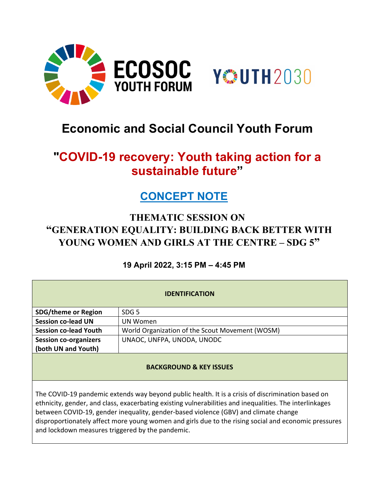



# **Economic and Social Council Youth Forum**

# **"COVID-19 recovery: Youth taking action for a sustainable future"**

## **CONCEPT NOTE**

### **THEMATIC SESSION ON "GENERATION EQUALITY: BUILDING BACK BETTER WITH YOUNG WOMEN AND GIRLS AT THE CENTRE – SDG 5"**

### **19 April 2022, 3:15 PM – 4:45 PM**

| <b>IDENTIFICATION</b>                                                                                                                                                                                                                                                                                                                                                                                       |                                                 |
|-------------------------------------------------------------------------------------------------------------------------------------------------------------------------------------------------------------------------------------------------------------------------------------------------------------------------------------------------------------------------------------------------------------|-------------------------------------------------|
| <b>SDG/theme or Region</b>                                                                                                                                                                                                                                                                                                                                                                                  | SDG <sub>5</sub>                                |
| <b>Session co-lead UN</b>                                                                                                                                                                                                                                                                                                                                                                                   | UN Women                                        |
| <b>Session co-lead Youth</b>                                                                                                                                                                                                                                                                                                                                                                                | World Organization of the Scout Movement (WOSM) |
| <b>Session co-organizers</b>                                                                                                                                                                                                                                                                                                                                                                                | UNAOC, UNFPA, UNODA, UNODC                      |
| (both UN and Youth)                                                                                                                                                                                                                                                                                                                                                                                         |                                                 |
| <b>BACKGROUND &amp; KEY ISSUES</b>                                                                                                                                                                                                                                                                                                                                                                          |                                                 |
| The COVID-19 pandemic extends way beyond public health. It is a crisis of discrimination based on<br>ethnicity, gender, and class, exacerbating existing vulnerabilities and inequalities. The interlinkages<br>between COVID-19, gender inequality, gender-based violence (GBV) and climate change<br>disproportionately affect more young women and girls due to the rising social and economic pressures |                                                 |

and lockdown measures triggered by the pandemic.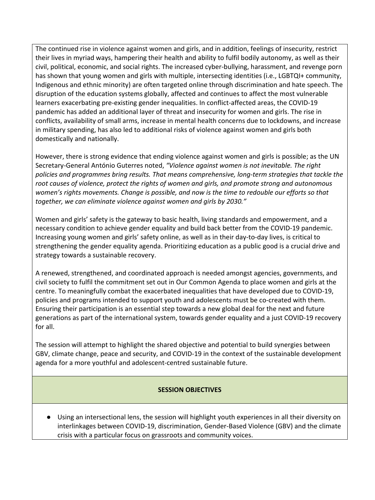The continued rise in violence against women and girls, and in addition, feelings of insecurity, restrict their lives in myriad ways, hampering their health and ability to fulfil bodily autonomy, as well as their civil, political, economic, and social rights. The increased cyber-bullying, harassment, and revenge porn has shown that young women and girls with multiple, intersecting identities (i.e., LGBTQI+ community, Indigenous and ethnic minority) are often targeted online through discrimination and hate speech. The disruption of the education systems globally, affected and continues to affect the most vulnerable learners exacerbating pre-existing gender inequalities. In conflict-affected areas, the COVID-19 pandemic has added an additional layer of threat and insecurity for women and girls. The rise in conflicts, availability of small arms, increase in mental health concerns due to lockdowns, and increase in military spending, has also led to additional risks of violence against women and girls both domestically and nationally.

However, there is strong evidence that ending violence against women and girls is possible; as the UN Secretary-General António Guterres noted, *"Violence against women is not inevitable. The right policies and programmes bring results. That means comprehensive, long-term strategies that tackle the root causes of violence, protect the rights of women and girls, and promote strong and autonomous women's rights movements. Change is possible, and now is the time to redouble our efforts so that together, we can eliminate violence against women and girls by 2030."*

Women and girls' safety is the gateway to basic health, living standards and empowerment, and a necessary condition to achieve gender equality and build back better from the COVID-19 pandemic. Increasing young women and girls' safety online, as well as in their day-to-day lives, is critical to strengthening the gender equality agenda. Prioritizing education as a public good is a crucial drive and strategy towards a sustainable recovery.

A renewed, strengthened, and coordinated approach is needed amongst agencies, governments, and civil society to fulfil the commitment set out in Our Common Agenda to place women and girls at the centre. To meaningfully combat the exacerbated inequalities that have developed due to COVID-19, policies and programs intended to support youth and adolescents must be co-created with them. Ensuring their participation is an essential step towards a new global deal for the next and future generations as part of the international system, towards gender equality and a just COVID-19 recovery for all.

The session will attempt to highlight the shared objective and potential to build synergies between GBV, climate change, peace and security, and COVID-19 in the context of the sustainable development agenda for a more youthful and adolescent-centred sustainable future.

#### **SESSION OBJECTIVES**

● Using an intersectional lens, the session will highlight youth experiences in all their diversity on interlinkages between COVID-19, discrimination, Gender-Based Violence (GBV) and the climate crisis with a particular focus on grassroots and community voices.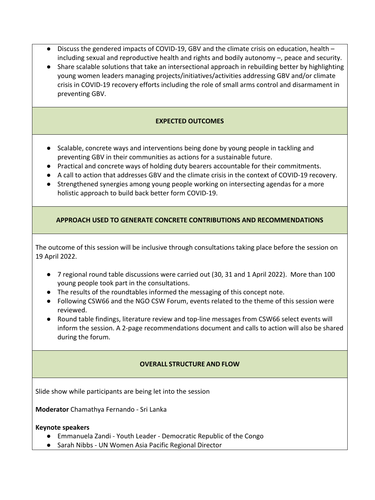- Discuss the gendered impacts of COVID-19, GBV and the climate crisis on education, health including sexual and reproductive health and rights and bodily autonomy –, peace and security.
- Share scalable solutions that take an intersectional approach in rebuilding better by highlighting young women leaders managing projects/initiatives/activities addressing GBV and/or climate crisis in COVID-19 recovery efforts including the role of small arms control and disarmament in preventing GBV.

#### **EXPECTED OUTCOMES**

- Scalable, concrete ways and interventions being done by young people in tackling and preventing GBV in their communities as actions for a sustainable future.
- Practical and concrete ways of holding duty bearers accountable for their commitments.
- A call to action that addresses GBV and the climate crisis in the context of COVID-19 recovery.
- Strengthened synergies among young people working on intersecting agendas for a more holistic approach to build back better form COVID-19.

#### **APPROACH USED TO GENERATE CONCRETE CONTRIBUTIONS AND RECOMMENDATIONS**

The outcome of this session will be inclusive through consultations taking place before the session on 19 April 2022.

- 7 regional round table discussions were carried out (30, 31 and 1 April 2022). More than 100 young people took part in the consultations.
- The results of the roundtables informed the messaging of this concept note.
- Following CSW66 and the NGO CSW Forum, events related to the theme of this session were reviewed.
- Round table findings, literature review and top-line messages from CSW66 select events will inform the session. A 2-page recommendations document and calls to action will also be shared during the forum.

#### **OVERALL STRUCTURE AND FLOW**

Slide show while participants are being let into the session

**Moderator** Chamathya Fernando - Sri Lanka

#### **Keynote speakers**

- Emmanuela Zandi Youth Leader Democratic Republic of the Congo
- Sarah Nibbs UN Women Asia Pacific Regional Director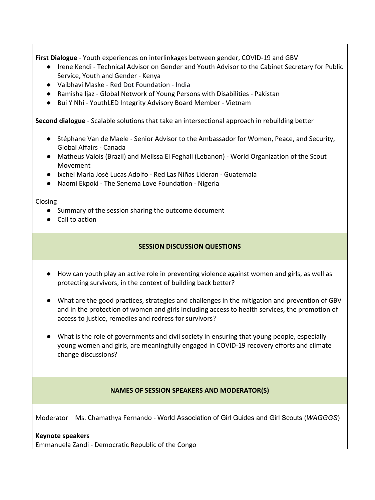**First Dialogue** - Youth experiences on interlinkages between gender, COVID-19 and GBV

- Irene Kendi Technical Advisor on Gender and Youth Advisor to the Cabinet Secretary for Public Service, Youth and Gender - Kenya
- Vaibhavi Maske Red Dot Foundation India
- Ramisha Ijaz Global Network of Young Persons with Disabilities Pakistan
- Bui Y Nhi YouthLED Integrity Advisory Board Member Vietnam

**Second dialogue** - Scalable solutions that take an intersectional approach in rebuilding better

- Stéphane Van de Maele Senior Advisor to the Ambassador for Women, Peace, and Security, Global Affairs - Canada
- Matheus Valois (Brazil) and Melissa El Feghali (Lebanon) World Organization of the Scout Movement
- Ixchel María José Lucas Adolfo Red Las Niñas Lideran Guatemala
- Naomi Ekpoki The Senema Love Foundation Nigeria

Closing

- Summary of the session sharing the outcome document
- Call to action

#### **SESSION DISCUSSION QUESTIONS**

- How can youth play an active role in preventing violence against women and girls, as well as protecting survivors, in the context of building back better?
- What are the good practices, strategies and challenges in the mitigation and prevention of GBV and in the protection of women and girls including access to health services, the promotion of access to justice, remedies and redress for survivors?
- What is the role of governments and civil society in ensuring that young people, especially young women and girls, are meaningfully engaged in COVID-19 recovery efforts and climate change discussions?

#### **NAMES OF SESSION SPEAKERS AND MODERATOR(S)**

Moderator – Ms. Chamathya Fernando - World Association of Girl Guides and Girl Scouts (*WAGGGS*)

**Keynote speakers**

Emmanuela Zandi - Democratic Republic of the Congo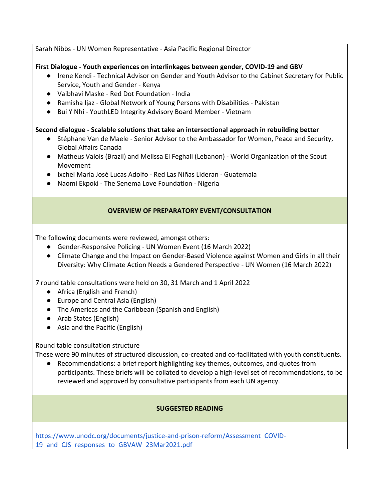Sarah Nibbs - UN Women Representative - Asia Pacific Regional Director

#### **First Dialogue - Youth experiences on interlinkages between gender, COVID-19 and GBV**

- Irene Kendi Technical Advisor on Gender and Youth Advisor to the Cabinet Secretary for Public Service, Youth and Gender - Kenya
- Vaibhavi Maske Red Dot Foundation India
- Ramisha Ijaz Global Network of Young Persons with Disabilities Pakistan
- Bui Y Nhi YouthLED Integrity Advisory Board Member Vietnam

#### **Second dialogue - Scalable solutions that take an intersectional approach in rebuilding better**

- Stéphane Van de Maele Senior Advisor to the Ambassador for Women, Peace and Security, Global Affairs Canada
- Matheus Valois (Brazil) and Melissa El Feghali (Lebanon) World Organization of the Scout Movement
- Ixchel María José Lucas Adolfo Red Las Niñas Lideran Guatemala
- Naomi Ekpoki The Senema Love Foundation Nigeria

#### **OVERVIEW OF PREPARATORY EVENT/CONSULTATION**

The following documents were reviewed, amongst others:

- Gender-Responsive Policing UN Women Event (16 March 2022)
- Climate Change and the Impact on Gender-Based Violence against Women and Girls in all their Diversity: Why Climate Action Needs a Gendered Perspective - UN Women (16 March 2022)

7 round table consultations were held on 30, 31 March and 1 April 2022

- Africa (English and French)
- Europe and Central Asia (English)
- The Americas and the Caribbean (Spanish and English)
- Arab States (English)
- Asia and the Pacific (English)

Round table consultation structure

These were 90 minutes of structured discussion, co-created and co-facilitated with youth constituents.

● Recommendations: a brief report highlighting key themes, outcomes, and quotes from participants. These briefs will be collated to develop a high-level set of recommendations, to be reviewed and approved by consultative participants from each UN agency.

#### **SUGGESTED READING**

[https://www.unodc.org/documents/justice-and-prison-reform/Assessment\\_COVID-](https://www.unodc.org/documents/justice-and-prison-reform/Assessment_COVID-19_and_CJS_responses_to_GBVAW_23Mar2021.pdf)19 and CJS responses to GBVAW 23Mar2021.pdf